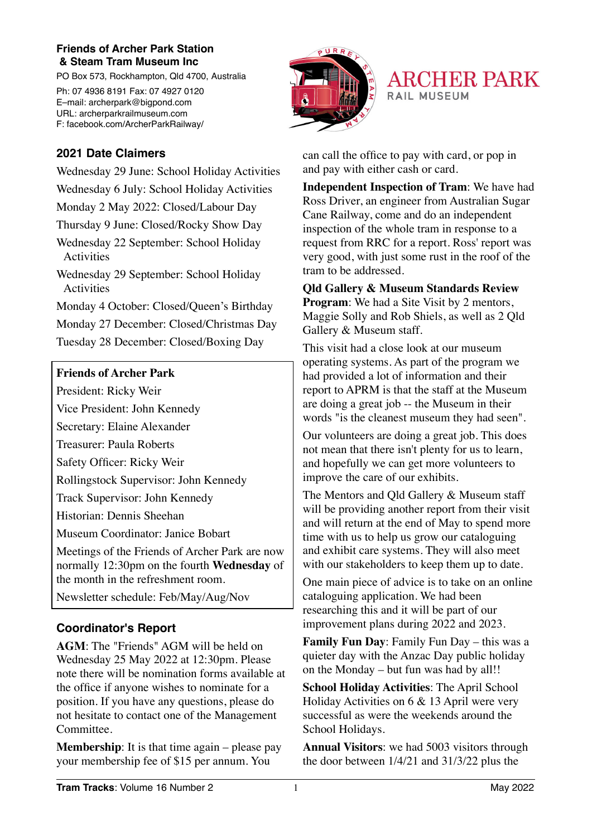#### **Friends of Archer Park Station & Steam Tram Museum Inc**

PO Box 573, Rockhampton, Qld 4700, Australia

Ph: 07 4936 8191 Fax: 07 4927 0120 E–mail: archerpark@bigpond.com URL: archerparkrailmuseum.com F: facebook.com/ArcherParkRailway/





### **2021 Date Claimers**

Wednesday 29 June: School Holiday Activities Wednesday 6 July: School Holiday Activities Monday 2 May 2022: Closed/Labour Day Thursday 9 June: Closed/Rocky Show Day Wednesday 22 September: School Holiday Activities Wednesday 29 September: School Holiday Activities Monday 4 October: Closed/Queen's Birthday Monday 27 December: Closed/Christmas Day Tuesday 28 December: Closed/Boxing Day

#### **Friends of Archer Park**

President: Ricky Weir

Vice President: John Kennedy

Secretary: Elaine Alexander

Treasurer: Paula Roberts

Safety Officer: Ricky Weir

Rollingstock Supervisor: John Kennedy

Track Supervisor: John Kennedy

Historian: Dennis Sheehan

Museum Coordinator: Janice Bobart

Meetings of the Friends of Archer Park are now normally 12:30pm on the fourth **Wednesday** of the month in the refreshment room.

Newsletter schedule: Feb/May/Aug/Nov

## **Coordinator's Report**

**AGM**: The "Friends" AGM will be held on Wednesday 25 May 2022 at 12:30pm. Please note there will be nomination forms available at the office if anyone wishes to nominate for a position. If you have any questions, please do not hesitate to contact one of the Management Committee.

**Membership:** It is that time again – please pay your membership fee of \$15 per annum. You

can call the office to pay with card, or pop in and pay with either cash or card.

**Independent Inspection of Tram**: We have had Ross Driver, an engineer from Australian Sugar Cane Railway, come and do an independent inspection of the whole tram in response to a request from RRC for a report. Ross' report was very good, with just some rust in the roof of the tram to be addressed.

**Qld Gallery & Museum Standards Review Program**: We had a Site Visit by 2 mentors, Maggie Solly and Rob Shiels, as well as 2 Qld Gallery & Museum staff.

This visit had a close look at our museum operating systems. As part of the program we had provided a lot of information and their report to APRM is that the staff at the Museum are doing a great job -- the Museum in their words "is the cleanest museum they had seen".

Our volunteers are doing a great job. This does not mean that there isn't plenty for us to learn, and hopefully we can get more volunteers to improve the care of our exhibits.

The Mentors and Old Gallery & Museum staff will be providing another report from their visit and will return at the end of May to spend more time with us to help us grow our cataloguing and exhibit care systems. They will also meet with our stakeholders to keep them up to date.

One main piece of advice is to take on an online cataloguing application. We had been researching this and it will be part of our improvement plans during 2022 and 2023.

**Family Fun Day**: Family Fun Day – this was a quieter day with the Anzac Day public holiday on the Monday – but fun was had by all!!

**School Holiday Activities**: The April School Holiday Activities on 6 & 13 April were very successful as were the weekends around the School Holidays.

**Annual Visitors**: we had 5003 visitors through the door between 1/4/21 and 31/3/22 plus the